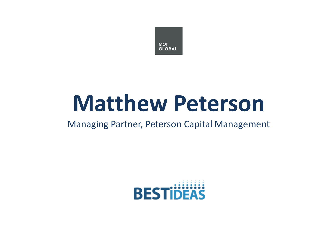

## **Matthew Peterson**

#### Managing Partner, Peterson Capital Management

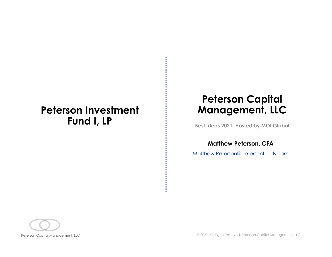## Peterson Investment  $\mathsf{Fund}$   $\mathsf{I}, \mathsf{LP}$   $\qquad \qquad \vdots$  Best Ideas 2021, Hosted by MOI Global

### Peterson Capital Management, LLC

Matthew Peterson, CFA

Matthew.Peterson@petersonfunds.com

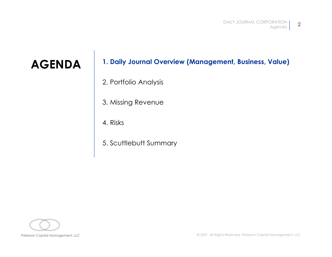## DAILY JOURNAL CORPORATION <br> **AGENDA** 1. Daily Journal Overview (Management, Business, Value)<br>
2. Portfolio Analysis DAILY JOUR<br> **2. Portfolio Analysis<br>
2. Portfolio Analysis<br>
3. Missing Revenue** DAILY JOURN<br>**1. Daily Journal Overview (Management, Bus**<br>2. Portfolio Analysis<br>3. Missing Revenue<br>4. Risks DAILY JOUR<br>**1. Daily Journal Overview (Management, Bus**<br>2. Portfolio Analysis<br>3. Missing Revenue<br>4. Risks<br>5. Scuttlebutt Summary 1. Daily Journal Overview (Management, Bus<br>2. Portfolio Analysis<br>3. Missing Revenue<br>4. Risks<br>5. Scuttlebutt Summary

- 
- 
- 
- 

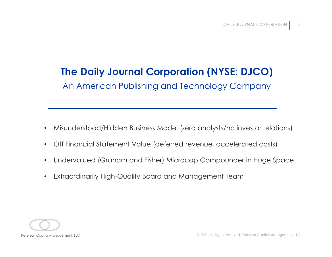## The Daily Journal Corporation (NYSE: DJCO)

An American Publishing and Technology Company

- Misunderstood/Hidden Business Model (zero analysts/no investor relations)
- Off Financial Statement Value (deferred revenue, accelerated costs)
- Misunderstood/Hidden Business Model (zero analysts/no investor relations)<br>• Off Financial Statement Value (deferred revenue, accelerated costs)<br>• Undervalued (Graham and Fisher) Microcap Compounder in Huge Space<br>• Extrao • Undervalued (Graham and Fisher) Microcap Compounder in Huge Space
	- Extraordinarily High-Quality Board and Management Team

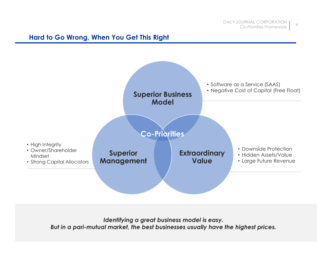#### Hard to Go Wrong, When You Get This Right



Identifying a great business model is easy. But in a pari-mutual market, the best businesses usually have the highest prices.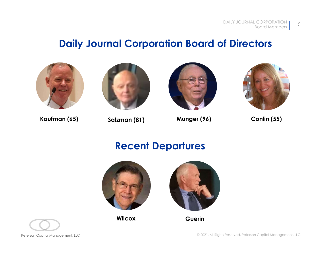### Daily Journal Corporation Board of Directors









## Recent Departures



Wilcox **Guerin** 



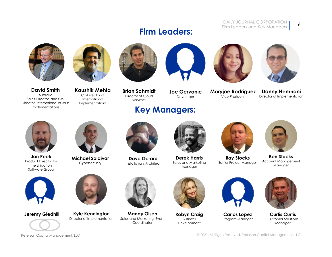#### DAILY JOURNAL CORPORATION 6 Firm Leaders and Key Managers

#### 6





David Smith Sales Director, and Co-Director, International eCourt Implementations

Australia Co-Director of International Implementations



Brian Schmidt Director of Cloud Services

## Key Managers:

Firm Leaders:





Vice-President Director of Implementation Danny Hemnani



Product Director for<br>Cybersecurity the Litigation Software Group



Jon Peek Michael Saldivar





Developer

Cybersecurity Installations Architect Dave Gerard Derek Harris Sales and Marketing Manager



**Maryjoe Rodriguez**<br>Vice-President

Derek Harris Ray Stocks Senior Project Manager



Ben Stocks Account Management Manager







**Jeremy Gledhill Kyle Kennington Mandy Olsen**<br>Director of Implementation Sales and Marketing, E



Director of Implementation Sales and Marketing, Event **Coordinator** 



**Robyn Craig** Business Development



Program Manager



Robyn Craig Carlos Lopez Curtis Curtis Customer Solutions Manager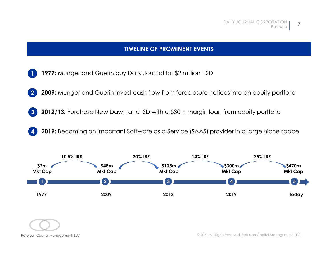#### TIMELINE OF PROMINENT EVENTS

- 1 1977: Munger and Guerin buy Daily Journal for \$2 million USD
- 2 2009: Munger and Guerin invest cash flow from foreclosure notices into an equity portfolio
- 3 2012/13: Purchase New Dawn and ISD with a \$30m margin loan from equity portfolio
- 4 2019: Becoming an important Software as a Service (SAAS) provider in a large niche space



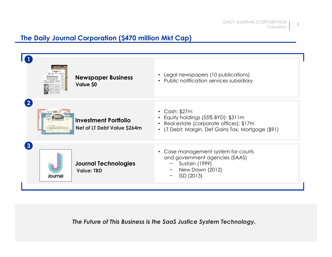#### The Daily Journal Corporation (\$470 million Mkt Cap)



The Future of This Business is the SaaS Justice System Technology.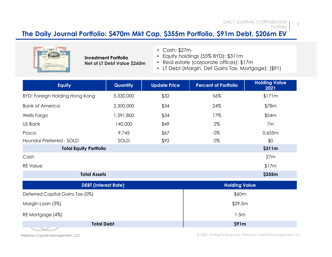#### The Daily Journal Portfolio: \$470m Mkt Cap, \$355m Portfolio, \$91m Debt, \$206m EV



- Cash: \$27m
- Equity holdings (55% BYD): \$311m Investment Portfolio
- Net of LT Debt Value \$260m  $\quad \bullet \quad$  Real estate (corporate offices): \$17m  $\quad \bullet \quad$ 
	- LT Debt (Margin, Def Gains Tax, Mortgage): (\$91)

|                                       |                                                            |                     | The Daily Journal Portfolio: \$470m Mkt Cap, \$355m Portfolio, \$91m Debt, \$206m EV                                                                          | Portfolio                    |  |
|---------------------------------------|------------------------------------------------------------|---------------------|---------------------------------------------------------------------------------------------------------------------------------------------------------------|------------------------------|--|
|                                       | <b>Investment Portfolio</b><br>Net of LT Debt Value \$260m |                     | $\cdot$ Cash: \$27m<br>• Equity holdings (55% BYD): \$311m<br>• Real estate (corporate offices): \$17m<br>• LT Debt (Margin, Def Gains Tax, Mortgage): (\$91) |                              |  |
| <b>Equity</b>                         | Quantity                                                   | <b>Update Price</b> | <b>Percent of Portfolio</b>                                                                                                                                   | <b>Holding Value</b><br>2021 |  |
| <b>BYD: Foreign Holding Hong Kong</b> | 5,330,000                                                  | \$32                | 56%                                                                                                                                                           | \$171m                       |  |
| <b>Bank of America</b>                | 2,300,000                                                  | \$34                | 24%                                                                                                                                                           | \$78m                        |  |
| Wells Fargo                           | 1,591,800                                                  | \$34                | 17%                                                                                                                                                           | \$54m                        |  |
| <b>US Bank</b>                        | 140,000                                                    | \$49                | 2%                                                                                                                                                            | 7m                           |  |
| Posco                                 | 9,745                                                      | \$67                | 0%                                                                                                                                                            | 0.655m                       |  |
| Hyundai Preferred - SOLD              | SOLD                                                       | \$92                | 0%                                                                                                                                                            | \$0                          |  |
| <b>Total Equity Portfolio</b>         |                                                            |                     | \$311m                                                                                                                                                        |                              |  |
| Cash                                  |                                                            |                     |                                                                                                                                                               | 27m                          |  |
| <b>REValue</b>                        |                                                            |                     |                                                                                                                                                               | \$17m                        |  |
|                                       | <b>Total Assets</b>                                        |                     |                                                                                                                                                               | \$355m                       |  |
|                                       | <b>DEBT</b> (Interest Rate)                                |                     | <b>Holding Value</b>                                                                                                                                          |                              |  |
| Deferred Capital Gains Tax (0%)       |                                                            | \$60m               |                                                                                                                                                               |                              |  |
| Margin Loan (3%)                      |                                                            |                     | \$29.5m                                                                                                                                                       |                              |  |
| RE Mortgage (4%)                      |                                                            |                     | 1.5m                                                                                                                                                          |                              |  |
|                                       | <b>Total Debt</b>                                          |                     | \$91m                                                                                                                                                         |                              |  |
| Peterson Capital Management, LLC      |                                                            |                     | © 2021. All Rights Reserved. Peterson Capital Management, LLC.                                                                                                |                              |  |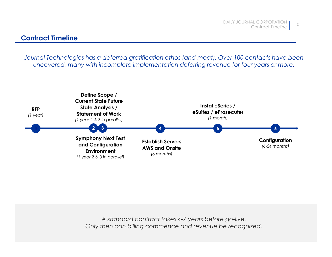#### Contract Timeline

Journal Technologies has a deferred gratification ethos (and moat). Over 100 contacts have been uncovered, many with incomplete implementation deferring revenue for four years or more.



A standard contract takes 4-7 years before go-live. Only then can billing commence and revenue be recognized.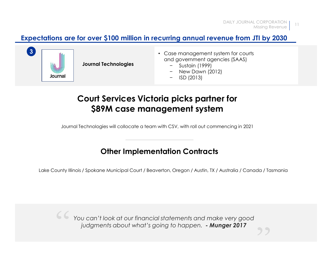#### Expectations are for over \$100 million in recurring annual revenue from JTI by 2030



Journal Technologies **Exercise Service Sustain** (1999)

- 3  **Case management system for courts** and government agencies (SAAS) DAILY JOURNAL CORPORATION<br>
Missing Revenue | 11<br> **ing annual revenue from JTI by 2030**<br>
350 management system for courts<br>
d government agencies (SAAS)<br>
- Sustain (1999)<br>
- New Dawn (2012)<br>
- ISD (2013) DAILY JOURNAL CORPORATION<br>
Missing Revenue | 11<br> **ing annual revenue from JTI by 2030**<br>
Suse management system for courts<br>
d government agencies (SAAS)<br>
- Sustain (1999)<br>
- New Davn (2012)<br>
- ISD (2013)<br>
- ISD (2013) DAILY JOURNAL CORPORATION<br>
Missing Revenue | 11<br> **ing annual revenue from JTI by 2030**<br>
Suse management system for courts<br>
d government agencies (SAAS)<br>
- Sustain (1999)<br>
- New Davn (2012)<br>
- ISD (2013)<br> **picks partner for** 
	-
	-
	-

#### Court Services Victoria picks partner for \$89M case management system

Journal Technologies will collocate a team with CSV, with roll out commencing in 2021

#### Other Implementation Contracts

Lake County Illinois / Spokane Municipal Court / Beaverton, Oregon / Austin, TX / Australia / Canada / Tasmania

Petral Technologies will collocate a team with CSV, with roll out commencing in 2021.<br> **Other Implementation Contracts**<br>
Lake County Illinois / Spokane Municipal Court / Beaverton, Oregon / Austin, IX / Australia / Canada  $\frac{1}{2}$ '' You can't look at our financial statements and make very good '' inter a team with CSV, with roll out commencing in 2021<br> **Other Implementation Contracts**<br>
J Spokane Municipal Court / Beaverton, Oregon / Austin, TX / Australia / Canada / Tasmania<br>
J Can't look at our financial statement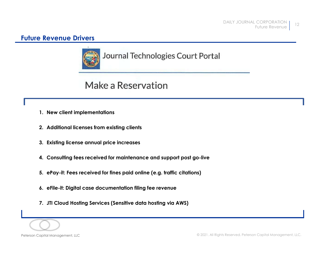#### Future Revenue Drivers



# Revenue Drivers<br>
Journal Technologies Compared to the Make a Reservation<br>
1. New client implementations<br>
2. Additional licenses from existing clients 2. Revenue Drivers<br>2. Additional licenses from existing clients<br>2. Additional licenses from existing clients<br>3. Existing license annual price increases 3. Consulting fees received for minimation fees, and the experiment of maintenance and support post go-live S. Additional licenses from existing clients<br>4. Consulting fees received for maintenance and support post go-live<br>

- 
- 
- 
- 2. Additional licenses from existing clients<br>3. Existing license annual price increases<br>4. Consulting fees received for fines paid online (e.g. traffic citations)<br>5. ePuy-it: Fees received for fines paid online (e.g. traff 3. Existing license annual price increases 4. Consulting fees received for maintenance and support post good. Make a Reservation<br>
1. New client implementations<br>
2. Additional licenses from existing clients<br>
3. Existing license annual price increases<br>
4. Consulting fees received for maintenance and support post go-live<br>
5. ePay-It: Make a Reservation<br>
1. New client implementations<br>
2. Additional licenses from existing clients<br>
3. Existing license annual price increases<br>
4. Consulting fees received for maintenance and support post go-live<br>
5. ePay-it: 2. Additional licenses from existing clients<br>2. Additional licenses from existing clients<br>3. Existing license annual price increases<br>4. Consulting fees received for maintenance and support pos<br>5. ePay-it: Fees received for
	-
	-
	-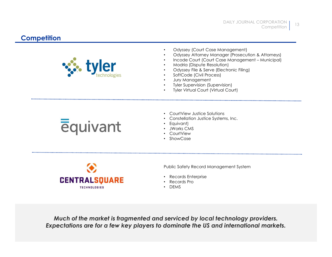#### **Competition**



- Odyssey (Court Case Management)
- Odyssey Attorney Manager (Prosecution & Attorneys)
- 
- 
- Odyssey File & Serve (Electronic Filing)
- 
- Jury Management
- Tyler Supervision (Supervision)
- **Tyler Virtual Court (Virtual Court)**



- 
- Constellation Justice Systems, Inc.
- Equivant)
- 
- CourtView
- ShowCase



Public Safety Record Management System

- Records Enterprise
- Records Pro
- DEMS

**PERENT RALSQUARE**<br>
Provide Salety Record Management System<br> **CENTRALSQUARE**<br>
HE Records Enterprise<br>
Much of the market is fragmented and serviced by local technology providers.<br>
Expectations are for a few key players to d Much of the market is fragmented and serviced by local technology providers. Expectations are for a few key players to dominate the US and international markets.

13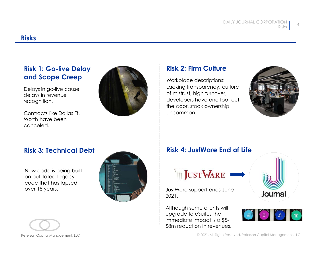#### Risks

#### Risk 1: Go-live Delay and Scope Creep

Delays in go-live cause delays in revenue recognition.

Contracts like Dallas Ft. Worth have been canceled.



#### Risk 2: Firm Culture

Workplace descriptions: Lacking transparency, culture of mistrust, high turnover, developers have one foot out the door, stock ownership uncommon.



New code is being built on outdated legacy code that has lapsed





2021.

Although some clients will immediate impact is a \$5- \$8m reduction in revenues.



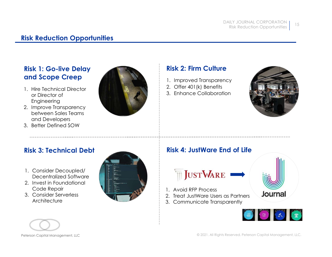#### Risk Reduction Opportunities

## Risk 1: Go-live Delay

- or Director of Engineering
- 
- 



#### Risk 2: Firm Culture

- 
- 
- 



- Decentralized Software
- Code Repair
- **Architecture**





- 
- 
- 



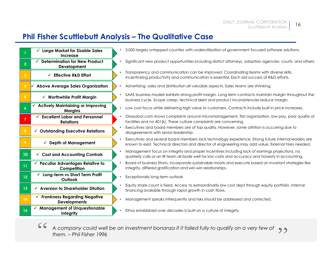| DAILY JOURNAL CORPORATION<br>16<br>Scuttlebutt Analysis<br><b>Phil Fisher Scuttlebutt Analysis – The Qualitative Case</b><br>3,000 largely untapped counties with underutilization of government focused software solutions.<br>$\checkmark$ Large Market for Sizable Sales<br>Increase<br>$\checkmark$ Determination for New Product<br>Development<br>Transparency and communication can be improved. Coordinating teams with diverse skills,<br>$\checkmark$ Effective R&D Effort<br>incentivizing productivity and communication is essential. Each aid success of R&D efforts.<br><b>Above Average Sales Organization</b><br>Advertising, sales and distribution all valuable aspects. Sales teams are shrinking.<br>$\checkmark$ Worthwhile Profit Margin<br>business cycle. Scope creep, technical debt and product inconsistencies reduce margin.<br><b>Actively Maintaining or Improving</b><br>Low cost focus while delivering high value to customers. Contracts include built in price increases.<br><b>Margins</b><br><b>Excellent Labor and Personnel</b><br>facilities and no 401(k). These culture complaints are concerning.<br><b>Relations</b><br>Executives and board members are of top quality. However, some attrition is occurring due to<br>$\checkmark$ Outstanding Executive Relations<br>disagreements with senior leadership.<br>Executives and several board members lack technology experience. Strong future internal leaders are<br>$\checkmark$ Depth of Management<br>known to exist. Technical directors and director of engineering may add value. External hires needed.<br>Management focus on integrity and proper incentives including lack of earnings projections, no<br>$\checkmark$ Cost and Accounting Controls<br>10<br>quarterly calls or an IR team all bode well for low costs and accuracy and honesty in accounting.<br>Board of business titans. Incorporate sustainable moats and execute based on invariant strategies like<br>$\checkmark$ Peculiar Advantages Relative to<br>integrity, differed gratification and win-win relationships.<br>Competition<br>$\checkmark$ Long-term vs Short Term Profit<br>Exceptionally long-term outlook<br>12<br>Outlook<br>Equity share count is fixed. Access to extraordinarily low cost dept through equity portfolio. Internal<br>$\checkmark$ Aversion to Shareholder Dilution<br>13<br>financing available through rapid growth in cash flows.<br>$\checkmark$ Frankness Regarding Negative<br>Management speaks infrequently and risks should be addressed and corrected.<br><b>Developments</b><br>$\checkmark$ Management of Unquestionable<br>Ethos established over decades is built on a culture of integrity.<br>15<br>Integrity<br>A company could well be an investment bonanza if it failed fully to qualify on a very few of<br>them. - Phil Fisher 1996 | Significant new product opportunities including district attorneys, adoption agencies, courts, and others.<br>SAAS business models exhibits strong profit margin. Long term contracts maintain margin throughout the<br>Glassdoor.com shows complaints around micromanagement, flat organization, low pay, poor quality of |  |  |
|------------------------------------------------------------------------------------------------------------------------------------------------------------------------------------------------------------------------------------------------------------------------------------------------------------------------------------------------------------------------------------------------------------------------------------------------------------------------------------------------------------------------------------------------------------------------------------------------------------------------------------------------------------------------------------------------------------------------------------------------------------------------------------------------------------------------------------------------------------------------------------------------------------------------------------------------------------------------------------------------------------------------------------------------------------------------------------------------------------------------------------------------------------------------------------------------------------------------------------------------------------------------------------------------------------------------------------------------------------------------------------------------------------------------------------------------------------------------------------------------------------------------------------------------------------------------------------------------------------------------------------------------------------------------------------------------------------------------------------------------------------------------------------------------------------------------------------------------------------------------------------------------------------------------------------------------------------------------------------------------------------------------------------------------------------------------------------------------------------------------------------------------------------------------------------------------------------------------------------------------------------------------------------------------------------------------------------------------------------------------------------------------------------------------------------------------------------------------------------------------------------------------------------------------------------------------------------------------------------------------------------------------------------------------------------------------------------------------------------------------------------------------------------------------------------------------------------------------------------------------|----------------------------------------------------------------------------------------------------------------------------------------------------------------------------------------------------------------------------------------------------------------------------------------------------------------------------|--|--|
|                                                                                                                                                                                                                                                                                                                                                                                                                                                                                                                                                                                                                                                                                                                                                                                                                                                                                                                                                                                                                                                                                                                                                                                                                                                                                                                                                                                                                                                                                                                                                                                                                                                                                                                                                                                                                                                                                                                                                                                                                                                                                                                                                                                                                                                                                                                                                                                                                                                                                                                                                                                                                                                                                                                                                                                                                                                                        |                                                                                                                                                                                                                                                                                                                            |  |  |
|                                                                                                                                                                                                                                                                                                                                                                                                                                                                                                                                                                                                                                                                                                                                                                                                                                                                                                                                                                                                                                                                                                                                                                                                                                                                                                                                                                                                                                                                                                                                                                                                                                                                                                                                                                                                                                                                                                                                                                                                                                                                                                                                                                                                                                                                                                                                                                                                                                                                                                                                                                                                                                                                                                                                                                                                                                                                        |                                                                                                                                                                                                                                                                                                                            |  |  |
|                                                                                                                                                                                                                                                                                                                                                                                                                                                                                                                                                                                                                                                                                                                                                                                                                                                                                                                                                                                                                                                                                                                                                                                                                                                                                                                                                                                                                                                                                                                                                                                                                                                                                                                                                                                                                                                                                                                                                                                                                                                                                                                                                                                                                                                                                                                                                                                                                                                                                                                                                                                                                                                                                                                                                                                                                                                                        |                                                                                                                                                                                                                                                                                                                            |  |  |
|                                                                                                                                                                                                                                                                                                                                                                                                                                                                                                                                                                                                                                                                                                                                                                                                                                                                                                                                                                                                                                                                                                                                                                                                                                                                                                                                                                                                                                                                                                                                                                                                                                                                                                                                                                                                                                                                                                                                                                                                                                                                                                                                                                                                                                                                                                                                                                                                                                                                                                                                                                                                                                                                                                                                                                                                                                                                        |                                                                                                                                                                                                                                                                                                                            |  |  |
|                                                                                                                                                                                                                                                                                                                                                                                                                                                                                                                                                                                                                                                                                                                                                                                                                                                                                                                                                                                                                                                                                                                                                                                                                                                                                                                                                                                                                                                                                                                                                                                                                                                                                                                                                                                                                                                                                                                                                                                                                                                                                                                                                                                                                                                                                                                                                                                                                                                                                                                                                                                                                                                                                                                                                                                                                                                                        |                                                                                                                                                                                                                                                                                                                            |  |  |
|                                                                                                                                                                                                                                                                                                                                                                                                                                                                                                                                                                                                                                                                                                                                                                                                                                                                                                                                                                                                                                                                                                                                                                                                                                                                                                                                                                                                                                                                                                                                                                                                                                                                                                                                                                                                                                                                                                                                                                                                                                                                                                                                                                                                                                                                                                                                                                                                                                                                                                                                                                                                                                                                                                                                                                                                                                                                        |                                                                                                                                                                                                                                                                                                                            |  |  |
|                                                                                                                                                                                                                                                                                                                                                                                                                                                                                                                                                                                                                                                                                                                                                                                                                                                                                                                                                                                                                                                                                                                                                                                                                                                                                                                                                                                                                                                                                                                                                                                                                                                                                                                                                                                                                                                                                                                                                                                                                                                                                                                                                                                                                                                                                                                                                                                                                                                                                                                                                                                                                                                                                                                                                                                                                                                                        |                                                                                                                                                                                                                                                                                                                            |  |  |
|                                                                                                                                                                                                                                                                                                                                                                                                                                                                                                                                                                                                                                                                                                                                                                                                                                                                                                                                                                                                                                                                                                                                                                                                                                                                                                                                                                                                                                                                                                                                                                                                                                                                                                                                                                                                                                                                                                                                                                                                                                                                                                                                                                                                                                                                                                                                                                                                                                                                                                                                                                                                                                                                                                                                                                                                                                                                        |                                                                                                                                                                                                                                                                                                                            |  |  |
|                                                                                                                                                                                                                                                                                                                                                                                                                                                                                                                                                                                                                                                                                                                                                                                                                                                                                                                                                                                                                                                                                                                                                                                                                                                                                                                                                                                                                                                                                                                                                                                                                                                                                                                                                                                                                                                                                                                                                                                                                                                                                                                                                                                                                                                                                                                                                                                                                                                                                                                                                                                                                                                                                                                                                                                                                                                                        |                                                                                                                                                                                                                                                                                                                            |  |  |
|                                                                                                                                                                                                                                                                                                                                                                                                                                                                                                                                                                                                                                                                                                                                                                                                                                                                                                                                                                                                                                                                                                                                                                                                                                                                                                                                                                                                                                                                                                                                                                                                                                                                                                                                                                                                                                                                                                                                                                                                                                                                                                                                                                                                                                                                                                                                                                                                                                                                                                                                                                                                                                                                                                                                                                                                                                                                        |                                                                                                                                                                                                                                                                                                                            |  |  |
|                                                                                                                                                                                                                                                                                                                                                                                                                                                                                                                                                                                                                                                                                                                                                                                                                                                                                                                                                                                                                                                                                                                                                                                                                                                                                                                                                                                                                                                                                                                                                                                                                                                                                                                                                                                                                                                                                                                                                                                                                                                                                                                                                                                                                                                                                                                                                                                                                                                                                                                                                                                                                                                                                                                                                                                                                                                                        |                                                                                                                                                                                                                                                                                                                            |  |  |
|                                                                                                                                                                                                                                                                                                                                                                                                                                                                                                                                                                                                                                                                                                                                                                                                                                                                                                                                                                                                                                                                                                                                                                                                                                                                                                                                                                                                                                                                                                                                                                                                                                                                                                                                                                                                                                                                                                                                                                                                                                                                                                                                                                                                                                                                                                                                                                                                                                                                                                                                                                                                                                                                                                                                                                                                                                                                        |                                                                                                                                                                                                                                                                                                                            |  |  |
|                                                                                                                                                                                                                                                                                                                                                                                                                                                                                                                                                                                                                                                                                                                                                                                                                                                                                                                                                                                                                                                                                                                                                                                                                                                                                                                                                                                                                                                                                                                                                                                                                                                                                                                                                                                                                                                                                                                                                                                                                                                                                                                                                                                                                                                                                                                                                                                                                                                                                                                                                                                                                                                                                                                                                                                                                                                                        |                                                                                                                                                                                                                                                                                                                            |  |  |
|                                                                                                                                                                                                                                                                                                                                                                                                                                                                                                                                                                                                                                                                                                                                                                                                                                                                                                                                                                                                                                                                                                                                                                                                                                                                                                                                                                                                                                                                                                                                                                                                                                                                                                                                                                                                                                                                                                                                                                                                                                                                                                                                                                                                                                                                                                                                                                                                                                                                                                                                                                                                                                                                                                                                                                                                                                                                        |                                                                                                                                                                                                                                                                                                                            |  |  |
|                                                                                                                                                                                                                                                                                                                                                                                                                                                                                                                                                                                                                                                                                                                                                                                                                                                                                                                                                                                                                                                                                                                                                                                                                                                                                                                                                                                                                                                                                                                                                                                                                                                                                                                                                                                                                                                                                                                                                                                                                                                                                                                                                                                                                                                                                                                                                                                                                                                                                                                                                                                                                                                                                                                                                                                                                                                                        |                                                                                                                                                                                                                                                                                                                            |  |  |
|                                                                                                                                                                                                                                                                                                                                                                                                                                                                                                                                                                                                                                                                                                                                                                                                                                                                                                                                                                                                                                                                                                                                                                                                                                                                                                                                                                                                                                                                                                                                                                                                                                                                                                                                                                                                                                                                                                                                                                                                                                                                                                                                                                                                                                                                                                                                                                                                                                                                                                                                                                                                                                                                                                                                                                                                                                                                        |                                                                                                                                                                                                                                                                                                                            |  |  |
|                                                                                                                                                                                                                                                                                                                                                                                                                                                                                                                                                                                                                                                                                                                                                                                                                                                                                                                                                                                                                                                                                                                                                                                                                                                                                                                                                                                                                                                                                                                                                                                                                                                                                                                                                                                                                                                                                                                                                                                                                                                                                                                                                                                                                                                                                                                                                                                                                                                                                                                                                                                                                                                                                                                                                                                                                                                                        |                                                                                                                                                                                                                                                                                                                            |  |  |
|                                                                                                                                                                                                                                                                                                                                                                                                                                                                                                                                                                                                                                                                                                                                                                                                                                                                                                                                                                                                                                                                                                                                                                                                                                                                                                                                                                                                                                                                                                                                                                                                                                                                                                                                                                                                                                                                                                                                                                                                                                                                                                                                                                                                                                                                                                                                                                                                                                                                                                                                                                                                                                                                                                                                                                                                                                                                        |                                                                                                                                                                                                                                                                                                                            |  |  |
|                                                                                                                                                                                                                                                                                                                                                                                                                                                                                                                                                                                                                                                                                                                                                                                                                                                                                                                                                                                                                                                                                                                                                                                                                                                                                                                                                                                                                                                                                                                                                                                                                                                                                                                                                                                                                                                                                                                                                                                                                                                                                                                                                                                                                                                                                                                                                                                                                                                                                                                                                                                                                                                                                                                                                                                                                                                                        |                                                                                                                                                                                                                                                                                                                            |  |  |
|                                                                                                                                                                                                                                                                                                                                                                                                                                                                                                                                                                                                                                                                                                                                                                                                                                                                                                                                                                                                                                                                                                                                                                                                                                                                                                                                                                                                                                                                                                                                                                                                                                                                                                                                                                                                                                                                                                                                                                                                                                                                                                                                                                                                                                                                                                                                                                                                                                                                                                                                                                                                                                                                                                                                                                                                                                                                        |                                                                                                                                                                                                                                                                                                                            |  |  |
|                                                                                                                                                                                                                                                                                                                                                                                                                                                                                                                                                                                                                                                                                                                                                                                                                                                                                                                                                                                                                                                                                                                                                                                                                                                                                                                                                                                                                                                                                                                                                                                                                                                                                                                                                                                                                                                                                                                                                                                                                                                                                                                                                                                                                                                                                                                                                                                                                                                                                                                                                                                                                                                                                                                                                                                                                                                                        |                                                                                                                                                                                                                                                                                                                            |  |  |
|                                                                                                                                                                                                                                                                                                                                                                                                                                                                                                                                                                                                                                                                                                                                                                                                                                                                                                                                                                                                                                                                                                                                                                                                                                                                                                                                                                                                                                                                                                                                                                                                                                                                                                                                                                                                                                                                                                                                                                                                                                                                                                                                                                                                                                                                                                                                                                                                                                                                                                                                                                                                                                                                                                                                                                                                                                                                        |                                                                                                                                                                                                                                                                                                                            |  |  |
|                                                                                                                                                                                                                                                                                                                                                                                                                                                                                                                                                                                                                                                                                                                                                                                                                                                                                                                                                                                                                                                                                                                                                                                                                                                                                                                                                                                                                                                                                                                                                                                                                                                                                                                                                                                                                                                                                                                                                                                                                                                                                                                                                                                                                                                                                                                                                                                                                                                                                                                                                                                                                                                                                                                                                                                                                                                                        |                                                                                                                                                                                                                                                                                                                            |  |  |
|                                                                                                                                                                                                                                                                                                                                                                                                                                                                                                                                                                                                                                                                                                                                                                                                                                                                                                                                                                                                                                                                                                                                                                                                                                                                                                                                                                                                                                                                                                                                                                                                                                                                                                                                                                                                                                                                                                                                                                                                                                                                                                                                                                                                                                                                                                                                                                                                                                                                                                                                                                                                                                                                                                                                                                                                                                                                        |                                                                                                                                                                                                                                                                                                                            |  |  |
|                                                                                                                                                                                                                                                                                                                                                                                                                                                                                                                                                                                                                                                                                                                                                                                                                                                                                                                                                                                                                                                                                                                                                                                                                                                                                                                                                                                                                                                                                                                                                                                                                                                                                                                                                                                                                                                                                                                                                                                                                                                                                                                                                                                                                                                                                                                                                                                                                                                                                                                                                                                                                                                                                                                                                                                                                                                                        |                                                                                                                                                                                                                                                                                                                            |  |  |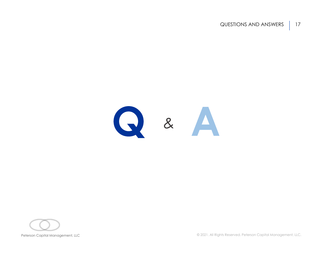QUESTIONS AND ANSWERS | 17